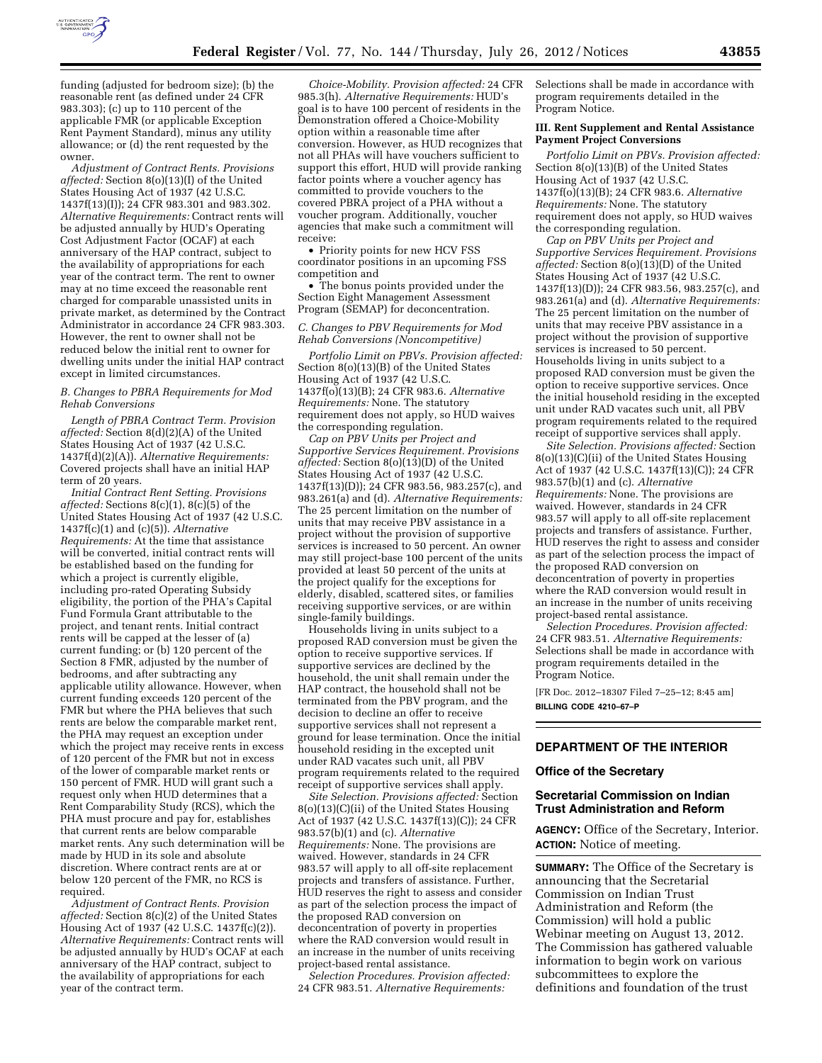

funding (adjusted for bedroom size); (b) the reasonable rent (as defined under 24 CFR 983.303); (c) up to 110 percent of the applicable FMR (or applicable Exception Rent Payment Standard), minus any utility allowance; or (d) the rent requested by the owner.

*Adjustment of Contract Rents. Provisions affected:* Section 8(o)(13)(I) of the United States Housing Act of 1937 (42 U.S.C. 1437f(13)(I)); 24 CFR 983.301 and 983.302. *Alternative Requirements:* Contract rents will be adjusted annually by HUD's Operating Cost Adjustment Factor (OCAF) at each anniversary of the HAP contract, subject to the availability of appropriations for each year of the contract term. The rent to owner may at no time exceed the reasonable rent charged for comparable unassisted units in private market, as determined by the Contract Administrator in accordance 24 CFR 983.303. However, the rent to owner shall not be reduced below the initial rent to owner for dwelling units under the initial HAP contract except in limited circumstances.

#### *B. Changes to PBRA Requirements for Mod Rehab Conversions*

*Length of PBRA Contract Term. Provision affected:* Section 8(d)(2)(A) of the United States Housing Act of 1937 (42 U.S.C. 1437f(d)(2)(A)). *Alternative Requirements:*  Covered projects shall have an initial HAP term of 20 years.

*Initial Contract Rent Setting. Provisions affected:* Sections 8(c)(1), 8(c)(5) of the United States Housing Act of 1937 (42 U.S.C. 1437f(c)(1) and (c)(5)). *Alternative Requirements:* At the time that assistance will be converted, initial contract rents will be established based on the funding for which a project is currently eligible, including pro-rated Operating Subsidy eligibility, the portion of the PHA's Capital Fund Formula Grant attributable to the project, and tenant rents. Initial contract rents will be capped at the lesser of (a) current funding; or (b) 120 percent of the Section 8 FMR, adjusted by the number of bedrooms, and after subtracting any applicable utility allowance. However, when current funding exceeds 120 percent of the FMR but where the PHA believes that such rents are below the comparable market rent, the PHA may request an exception under which the project may receive rents in excess of 120 percent of the FMR but not in excess of the lower of comparable market rents or 150 percent of FMR. HUD will grant such a request only when HUD determines that a Rent Comparability Study (RCS), which the PHA must procure and pay for, establishes that current rents are below comparable market rents. Any such determination will be made by HUD in its sole and absolute discretion. Where contract rents are at or below 120 percent of the FMR, no RCS is required.

*Adjustment of Contract Rents. Provision affected:* Section 8(c)(2) of the United States Housing Act of 1937 (42 U.S.C. 1437f(c)(2)). *Alternative Requirements:* Contract rents will be adjusted annually by HUD's OCAF at each anniversary of the HAP contract, subject to the availability of appropriations for each year of the contract term.

*Choice-Mobility. Provision affected:* 24 CFR 985.3(h). *Alternative Requirements:* HUD's goal is to have 100 percent of residents in the Demonstration offered a Choice-Mobility option within a reasonable time after conversion. However, as HUD recognizes that not all PHAs will have vouchers sufficient to support this effort, HUD will provide ranking factor points where a voucher agency has committed to provide vouchers to the covered PBRA project of a PHA without a voucher program. Additionally, voucher agencies that make such a commitment will receive:

• Priority points for new HCV FSS coordinator positions in an upcoming FSS competition and

• The bonus points provided under the Section Eight Management Assessment Program (SEMAP) for deconcentration.

## *C. Changes to PBV Requirements for Mod Rehab Conversions (Noncompetitive)*

*Portfolio Limit on PBVs. Provision affected:*  Section 8(o)(13)(B) of the United States Housing Act of 1937 (42 U.S.C. 1437f(o)(13)(B); 24 CFR 983.6. *Alternative Requirements:* None. The statutory requirement does not apply, so HUD waives the corresponding regulation.

*Cap on PBV Units per Project and Supportive Services Requirement. Provisions affected:* Section 8(o)(13)(D) of the United States Housing Act of 1937 (42 U.S.C. 1437f(13)(D)); 24 CFR 983.56, 983.257(c), and 983.261(a) and (d). *Alternative Requirements:*  The 25 percent limitation on the number of units that may receive PBV assistance in a project without the provision of supportive services is increased to 50 percent. An owner may still project-base 100 percent of the units provided at least 50 percent of the units at the project qualify for the exceptions for elderly, disabled, scattered sites, or families receiving supportive services, or are within single-family buildings.

Households living in units subject to a proposed RAD conversion must be given the option to receive supportive services. If supportive services are declined by the household, the unit shall remain under the HAP contract, the household shall not be terminated from the PBV program, and the decision to decline an offer to receive supportive services shall not represent a ground for lease termination. Once the initial household residing in the excepted unit under RAD vacates such unit, all PBV program requirements related to the required receipt of supportive services shall apply.

*Site Selection. Provisions affected:* Section 8(o)(13)(C)(ii) of the United States Housing Act of 1937 (42 U.S.C. 1437f(13)(C)); 24 CFR 983.57(b)(1) and (c). *Alternative Requirements:* None. The provisions are waived. However, standards in 24 CFR 983.57 will apply to all off-site replacement projects and transfers of assistance. Further, HUD reserves the right to assess and consider as part of the selection process the impact of the proposed RAD conversion on deconcentration of poverty in properties where the RAD conversion would result in an increase in the number of units receiving project-based rental assistance.

*Selection Procedures. Provision affected:*  24 CFR 983.51. *Alternative Requirements:* 

Selections shall be made in accordance with program requirements detailed in the Program Notice.

#### **III. Rent Supplement and Rental Assistance Payment Project Conversions**

*Portfolio Limit on PBVs. Provision affected:*  Section 8(o)(13)(B) of the United States Housing Act of 1937 (42 U.S.C. 1437f(o)(13)(B); 24 CFR 983.6. *Alternative Requirements:* None. The statutory requirement does not apply, so HUD waives the corresponding regulation.

*Cap on PBV Units per Project and Supportive Services Requirement. Provisions affected:* Section 8(o)(13)(D) of the United States Housing Act of 1937 (42 U.S.C. 1437f(13)(D)); 24 CFR 983.56, 983.257(c), and 983.261(a) and (d). *Alternative Requirements:*  The 25 percent limitation on the number of units that may receive PBV assistance in a project without the provision of supportive services is increased to 50 percent. Households living in units subject to a proposed RAD conversion must be given the option to receive supportive services. Once the initial household residing in the excepted unit under RAD vacates such unit, all PBV program requirements related to the required receipt of supportive services shall apply.

*Site Selection. Provisions affected:* Section 8(o)(13)(C)(ii) of the United States Housing Act of 1937 (42 U.S.C. 1437f(13)(C)); 24 CFR 983.57(b)(1) and (c). *Alternative Requirements:* None. The provisions are waived. However, standards in 24 CFR 983.57 will apply to all off-site replacement projects and transfers of assistance. Further, HUD reserves the right to assess and consider as part of the selection process the impact of the proposed RAD conversion on deconcentration of poverty in properties where the RAD conversion would result in an increase in the number of units receiving project-based rental assistance.

*Selection Procedures. Provision affected:*  24 CFR 983.51. *Alternative Requirements:*  Selections shall be made in accordance with program requirements detailed in the Program Notice.

[FR Doc. 2012–18307 Filed 7–25–12; 8:45 am] **BILLING CODE 4210–67–P** 

# **DEPARTMENT OF THE INTERIOR**

#### **Office of the Secretary**

#### **Secretarial Commission on Indian Trust Administration and Reform**

**AGENCY:** Office of the Secretary, Interior. **ACTION:** Notice of meeting.

**SUMMARY:** The Office of the Secretary is announcing that the Secretarial Commission on Indian Trust Administration and Reform (the Commission) will hold a public Webinar meeting on August 13, 2012. The Commission has gathered valuable information to begin work on various subcommittees to explore the definitions and foundation of the trust